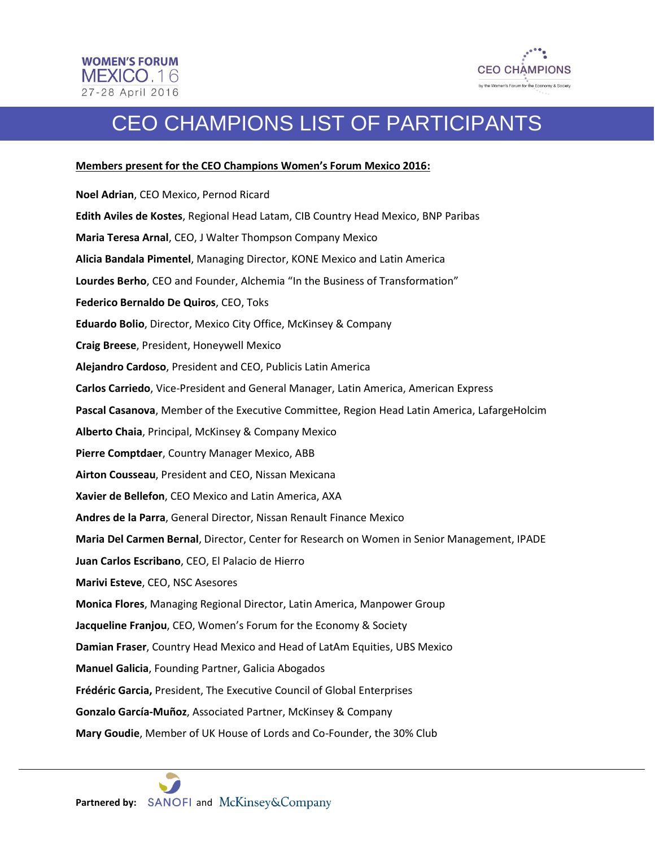

## CEO CHAMPIONS LIST OF PARTICIPANTS

## **Members present for the CEO Champions Women's Forum Mexico 2016:**

**Noel Adrian**, CEO Mexico, Pernod Ricard **Edith Aviles de Kostes**, Regional Head Latam, CIB Country Head Mexico, BNP Paribas **Maria Teresa Arnal**, CEO, J Walter Thompson Company Mexico **Alicia Bandala Pimentel**, Managing Director, KONE Mexico and Latin America **Lourdes Berho**, CEO and Founder, Alchemia "In the Business of Transformation" **Federico Bernaldo De Quiros**, CEO, Toks **Eduardo Bolio**, Director, Mexico City Office, McKinsey & Company **Craig Breese**, President, Honeywell Mexico **Alejandro Cardoso**, President and CEO, Publicis Latin America **Carlos Carriedo**, Vice-President and General Manager, Latin America, American Express **Pascal Casanova**, Member of the Executive Committee, Region Head Latin America, LafargeHolcim **Alberto Chaia**, Principal, McKinsey & Company Mexico **Pierre Comptdaer**, Country Manager Mexico, ABB **Airton Cousseau**, President and CEO, Nissan Mexicana **Xavier de Bellefon**, CEO Mexico and Latin America, AXA **Andres de la Parra**, General Director, Nissan Renault Finance Mexico **Maria Del Carmen Bernal**, Director, Center for Research on Women in Senior Management, IPADE **Juan Carlos Escribano**, CEO, El Palacio de Hierro **Marivi Esteve**, CEO, NSC Asesores **Monica Flores**, Managing Regional Director, Latin America, Manpower Group **Jacqueline Franjou**, CEO, Women's Forum for the Economy & Society **Damian Fraser**, Country Head Mexico and Head of LatAm Equities, UBS Mexico **Manuel Galicia**, Founding Partner, Galicia Abogados **Frédéric Garcia,** President, The Executive Council of Global Enterprises **Gonzalo García-Muñoz**, Associated Partner, McKinsey & Company **Mary Goudie**, Member of UK House of Lords and Co-Founder, the 30% Club